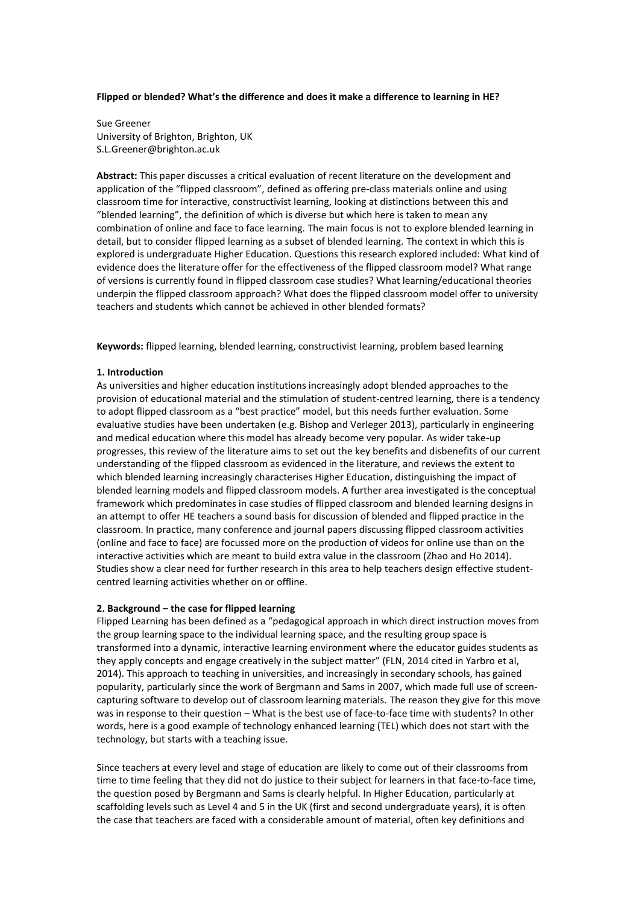### **Flipped or blended? What's the difference and does it make a difference to learning in HE?**

Sue Greener University of Brighton, Brighton, UK S.L.Greener@brighton.ac.uk

**Abstract:** This paper discusses a critical evaluation of recent literature on the development and application of the "flipped classroom", defined as offering pre-class materials online and using classroom time for interactive, constructivist learning, looking at distinctions between this and "blended learning", the definition of which is diverse but which here is taken to mean any combination of online and face to face learning. The main focus is not to explore blended learning in detail, but to consider flipped learning as a subset of blended learning. The context in which this is explored is undergraduate Higher Education. Questions this research explored included: What kind of evidence does the literature offer for the effectiveness of the flipped classroom model? What range of versions is currently found in flipped classroom case studies? What learning/educational theories underpin the flipped classroom approach? What does the flipped classroom model offer to university teachers and students which cannot be achieved in other blended formats?

**Keywords:** flipped learning, blended learning, constructivist learning, problem based learning

## **1. Introduction**

As universities and higher education institutions increasingly adopt blended approaches to the provision of educational material and the stimulation of student-centred learning, there is a tendency to adopt flipped classroom as a "best practice" model, but this needs further evaluation. Some evaluative studies have been undertaken (e.g. Bishop and Verleger 2013), particularly in engineering and medical education where this model has already become very popular. As wider take-up progresses, this review of the literature aims to set out the key benefits and disbenefits of our current understanding of the flipped classroom as evidenced in the literature, and reviews the extent to which blended learning increasingly characterises Higher Education, distinguishing the impact of blended learning models and flipped classroom models. A further area investigated is the conceptual framework which predominates in case studies of flipped classroom and blended learning designs in an attempt to offer HE teachers a sound basis for discussion of blended and flipped practice in the classroom. In practice, many conference and journal papers discussing flipped classroom activities (online and face to face) are focussed more on the production of videos for online use than on the interactive activities which are meant to build extra value in the classroom (Zhao and Ho 2014). Studies show a clear need for further research in this area to help teachers design effective studentcentred learning activities whether on or offline.

### **2. Background – the case for flipped learning**

Flipped Learning has been defined as a "pedagogical approach in which direct instruction moves from the group learning space to the individual learning space, and the resulting group space is transformed into a dynamic, interactive learning environment where the educator guides students as they apply concepts and engage creatively in the subject matter" (FLN, 2014 cited in Yarbro et al, 2014). This approach to teaching in universities, and increasingly in secondary schools, has gained popularity, particularly since the work of Bergmann and Sams in 2007, which made full use of screencapturing software to develop out of classroom learning materials. The reason they give for this move was in response to their question – What is the best use of face-to-face time with students? In other words, here is a good example of technology enhanced learning (TEL) which does not start with the technology, but starts with a teaching issue.

Since teachers at every level and stage of education are likely to come out of their classrooms from time to time feeling that they did not do justice to their subject for learners in that face-to-face time, the question posed by Bergmann and Sams is clearly helpful. In Higher Education, particularly at scaffolding levels such as Level 4 and 5 in the UK (first and second undergraduate years), it is often the case that teachers are faced with a considerable amount of material, often key definitions and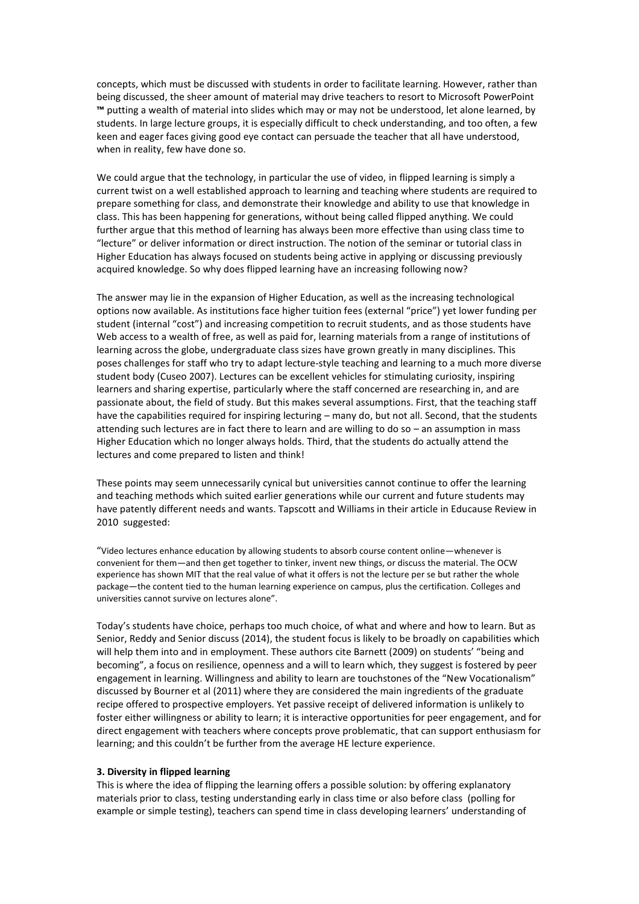concepts, which must be discussed with students in order to facilitate learning. However, rather than being discussed, the sheer amount of material may drive teachers to resort to Microsoft PowerPoint **™** putting a wealth of material into slides which may or may not be understood, let alone learned, by students. In large lecture groups, it is especially difficult to check understanding, and too often, a few keen and eager faces giving good eye contact can persuade the teacher that all have understood, when in reality, few have done so.

We could argue that the technology, in particular the use of video, in flipped learning is simply a current twist on a well established approach to learning and teaching where students are required to prepare something for class, and demonstrate their knowledge and ability to use that knowledge in class. This has been happening for generations, without being called flipped anything. We could further argue that this method of learning has always been more effective than using class time to "lecture" or deliver information or direct instruction. The notion of the seminar or tutorial class in Higher Education has always focused on students being active in applying or discussing previously acquired knowledge. So why does flipped learning have an increasing following now?

The answer may lie in the expansion of Higher Education, as well as the increasing technological options now available. As institutions face higher tuition fees (external "price") yet lower funding per student (internal "cost") and increasing competition to recruit students, and as those students have Web access to a wealth of free, as well as paid for, learning materials from a range of institutions of learning across the globe, undergraduate class sizes have grown greatly in many disciplines. This poses challenges for staff who try to adapt lecture-style teaching and learning to a much more diverse student body (Cuseo 2007). Lectures can be excellent vehicles for stimulating curiosity, inspiring learners and sharing expertise, particularly where the staff concerned are researching in, and are passionate about, the field of study. But this makes several assumptions. First, that the teaching staff have the capabilities required for inspiring lecturing – many do, but not all. Second, that the students attending such lectures are in fact there to learn and are willing to do so – an assumption in mass Higher Education which no longer always holds. Third, that the students do actually attend the lectures and come prepared to listen and think!

These points may seem unnecessarily cynical but universities cannot continue to offer the learning and teaching methods which suited earlier generations while our current and future students may have patently different needs and wants. Tapscott and Williams in their article in Educause Review in 2010 suggested:

"Video lectures enhance education by allowing students to absorb course content online—whenever is convenient for them—and then get together to tinker, invent new things, or discuss the material. The OCW experience has shown MIT that the real value of what it offers is not the lecture per se but rather the whole package—the content tied to the human learning experience on campus, plus the certification. Colleges and universities cannot survive on lectures alone".

Today's students have choice, perhaps too much choice, of what and where and how to learn. But as Senior, Reddy and Senior discuss (2014), the student focus is likely to be broadly on capabilities which will help them into and in employment. These authors cite Barnett (2009) on students' "being and becoming", a focus on resilience, openness and a will to learn which, they suggest is fostered by peer engagement in learning. Willingness and ability to learn are touchstones of the "New Vocationalism" discussed by Bourner et al (2011) where they are considered the main ingredients of the graduate recipe offered to prospective employers. Yet passive receipt of delivered information is unlikely to foster either willingness or ability to learn; it is interactive opportunities for peer engagement, and for direct engagement with teachers where concepts prove problematic, that can support enthusiasm for learning; and this couldn't be further from the average HE lecture experience.

### **3. Diversity in flipped learning**

This is where the idea of flipping the learning offers a possible solution: by offering explanatory materials prior to class, testing understanding early in class time or also before class (polling for example or simple testing), teachers can spend time in class developing learners' understanding of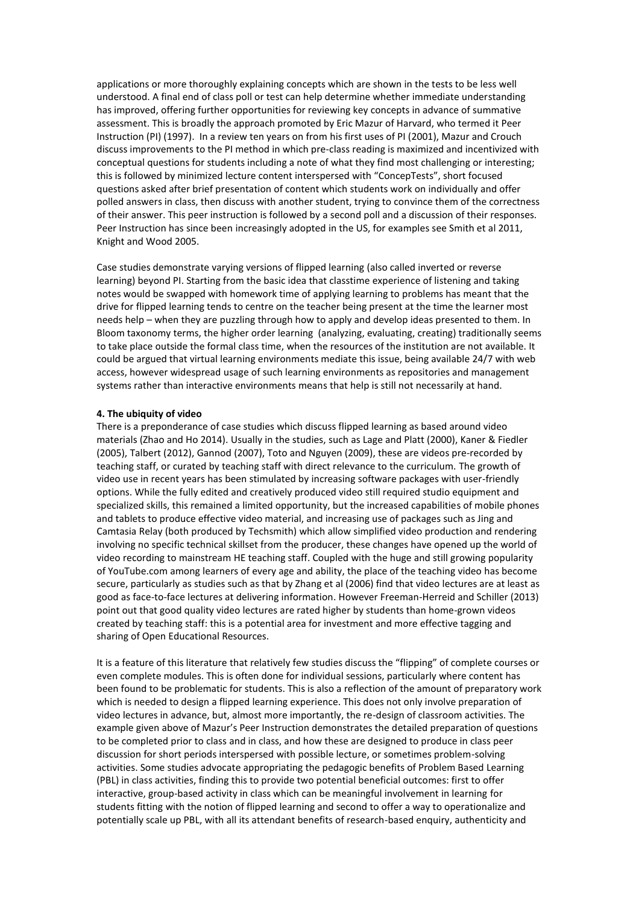applications or more thoroughly explaining concepts which are shown in the tests to be less well understood. A final end of class poll or test can help determine whether immediate understanding has improved, offering further opportunities for reviewing key concepts in advance of summative assessment. This is broadly the approach promoted by Eric Mazur of Harvard, who termed it Peer Instruction (PI) (1997). In a review ten years on from his first uses of PI (2001), Mazur and Crouch discuss improvements to the PI method in which pre-class reading is maximized and incentivized with conceptual questions for students including a note of what they find most challenging or interesting; this is followed by minimized lecture content interspersed with "ConcepTests", short focused questions asked after brief presentation of content which students work on individually and offer polled answers in class, then discuss with another student, trying to convince them of the correctness of their answer. This peer instruction is followed by a second poll and a discussion of their responses. Peer Instruction has since been increasingly adopted in the US, for examples see Smith et al 2011, Knight and Wood 2005.

Case studies demonstrate varying versions of flipped learning (also called inverted or reverse learning) beyond PI. Starting from the basic idea that classtime experience of listening and taking notes would be swapped with homework time of applying learning to problems has meant that the drive for flipped learning tends to centre on the teacher being present at the time the learner most needs help – when they are puzzling through how to apply and develop ideas presented to them. In Bloom taxonomy terms, the higher order learning (analyzing, evaluating, creating) traditionally seems to take place outside the formal class time, when the resources of the institution are not available. It could be argued that virtual learning environments mediate this issue, being available 24/7 with web access, however widespread usage of such learning environments as repositories and management systems rather than interactive environments means that help is still not necessarily at hand.

#### **4. The ubiquity of video**

There is a preponderance of case studies which discuss flipped learning as based around video materials (Zhao and Ho 2014). Usually in the studies, such as Lage and Platt (2000), Kaner & Fiedler (2005), Talbert (2012), Gannod (2007), Toto and Nguyen (2009), these are videos pre-recorded by teaching staff, or curated by teaching staff with direct relevance to the curriculum. The growth of video use in recent years has been stimulated by increasing software packages with user-friendly options. While the fully edited and creatively produced video still required studio equipment and specialized skills, this remained a limited opportunity, but the increased capabilities of mobile phones and tablets to produce effective video material, and increasing use of packages such as Jing and Camtasia Relay (both produced by Techsmith) which allow simplified video production and rendering involving no specific technical skillset from the producer, these changes have opened up the world of video recording to mainstream HE teaching staff. Coupled with the huge and still growing popularity of YouTube.com among learners of every age and ability, the place of the teaching video has become secure, particularly as studies such as that by Zhang et al (2006) find that video lectures are at least as good as face-to-face lectures at delivering information. However Freeman-Herreid and Schiller (2013) point out that good quality video lectures are rated higher by students than home-grown videos created by teaching staff: this is a potential area for investment and more effective tagging and sharing of Open Educational Resources.

It is a feature of this literature that relatively few studies discuss the "flipping" of complete courses or even complete modules. This is often done for individual sessions, particularly where content has been found to be problematic for students. This is also a reflection of the amount of preparatory work which is needed to design a flipped learning experience. This does not only involve preparation of video lectures in advance, but, almost more importantly, the re-design of classroom activities. The example given above of Mazur's Peer Instruction demonstrates the detailed preparation of questions to be completed prior to class and in class, and how these are designed to produce in class peer discussion for short periods interspersed with possible lecture, or sometimes problem-solving activities. Some studies advocate appropriating the pedagogic benefits of Problem Based Learning (PBL) in class activities, finding this to provide two potential beneficial outcomes: first to offer interactive, group-based activity in class which can be meaningful involvement in learning for students fitting with the notion of flipped learning and second to offer a way to operationalize and potentially scale up PBL, with all its attendant benefits of research-based enquiry, authenticity and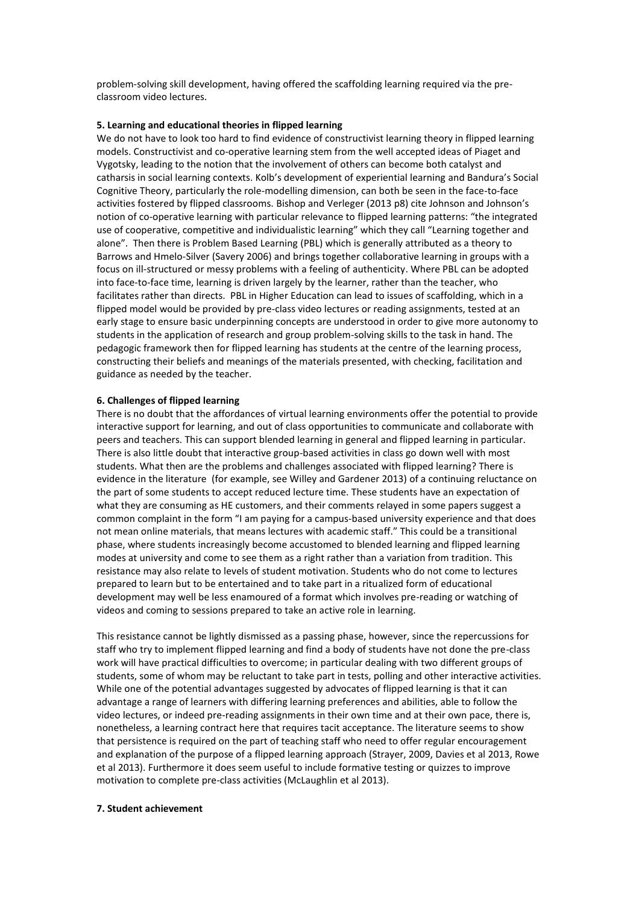problem-solving skill development, having offered the scaffolding learning required via the preclassroom video lectures.

### **5. Learning and educational theories in flipped learning**

We do not have to look too hard to find evidence of constructivist learning theory in flipped learning models. Constructivist and co-operative learning stem from the well accepted ideas of Piaget and Vygotsky, leading to the notion that the involvement of others can become both catalyst and catharsis in social learning contexts. Kolb's development of experiential learning and Bandura's Social Cognitive Theory, particularly the role-modelling dimension, can both be seen in the face-to-face activities fostered by flipped classrooms. Bishop and Verleger (2013 p8) cite Johnson and Johnson's notion of co-operative learning with particular relevance to flipped learning patterns: "the integrated use of cooperative, competitive and individualistic learning" which they call "Learning together and alone". Then there is Problem Based Learning (PBL) which is generally attributed as a theory to Barrows and Hmelo-Silver (Savery 2006) and brings together collaborative learning in groups with a focus on ill-structured or messy problems with a feeling of authenticity. Where PBL can be adopted into face-to-face time, learning is driven largely by the learner, rather than the teacher, who facilitates rather than directs. PBL in Higher Education can lead to issues of scaffolding, which in a flipped model would be provided by pre-class video lectures or reading assignments, tested at an early stage to ensure basic underpinning concepts are understood in order to give more autonomy to students in the application of research and group problem-solving skills to the task in hand. The pedagogic framework then for flipped learning has students at the centre of the learning process, constructing their beliefs and meanings of the materials presented, with checking, facilitation and guidance as needed by the teacher.

#### **6. Challenges of flipped learning**

There is no doubt that the affordances of virtual learning environments offer the potential to provide interactive support for learning, and out of class opportunities to communicate and collaborate with peers and teachers. This can support blended learning in general and flipped learning in particular. There is also little doubt that interactive group-based activities in class go down well with most students. What then are the problems and challenges associated with flipped learning? There is evidence in the literature (for example, see Willey and Gardener 2013) of a continuing reluctance on the part of some students to accept reduced lecture time. These students have an expectation of what they are consuming as HE customers, and their comments relayed in some papers suggest a common complaint in the form "I am paying for a campus-based university experience and that does not mean online materials, that means lectures with academic staff." This could be a transitional phase, where students increasingly become accustomed to blended learning and flipped learning modes at university and come to see them as a right rather than a variation from tradition. This resistance may also relate to levels of student motivation. Students who do not come to lectures prepared to learn but to be entertained and to take part in a ritualized form of educational development may well be less enamoured of a format which involves pre-reading or watching of videos and coming to sessions prepared to take an active role in learning.

This resistance cannot be lightly dismissed as a passing phase, however, since the repercussions for staff who try to implement flipped learning and find a body of students have not done the pre-class work will have practical difficulties to overcome; in particular dealing with two different groups of students, some of whom may be reluctant to take part in tests, polling and other interactive activities. While one of the potential advantages suggested by advocates of flipped learning is that it can advantage a range of learners with differing learning preferences and abilities, able to follow the video lectures, or indeed pre-reading assignments in their own time and at their own pace, there is, nonetheless, a learning contract here that requires tacit acceptance. The literature seems to show that persistence is required on the part of teaching staff who need to offer regular encouragement and explanation of the purpose of a flipped learning approach (Strayer, 2009, Davies et al 2013, Rowe et al 2013). Furthermore it does seem useful to include formative testing or quizzes to improve motivation to complete pre-class activities (McLaughlin et al 2013).

# **7. Student achievement**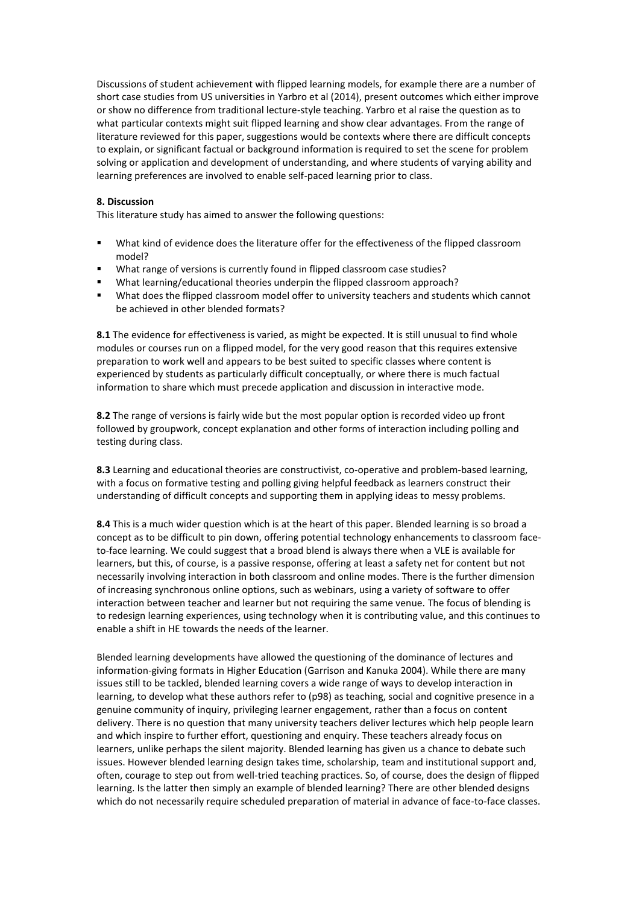Discussions of student achievement with flipped learning models, for example there are a number of short case studies from US universities in Yarbro et al (2014), present outcomes which either improve or show no difference from traditional lecture-style teaching. Yarbro et al raise the question as to what particular contexts might suit flipped learning and show clear advantages. From the range of literature reviewed for this paper, suggestions would be contexts where there are difficult concepts to explain, or significant factual or background information is required to set the scene for problem solving or application and development of understanding, and where students of varying ability and learning preferences are involved to enable self-paced learning prior to class.

## **8. Discussion**

This literature study has aimed to answer the following questions:

- What kind of evidence does the literature offer for the effectiveness of the flipped classroom model?
- What range of versions is currently found in flipped classroom case studies?
- What learning/educational theories underpin the flipped classroom approach?
- What does the flipped classroom model offer to university teachers and students which cannot be achieved in other blended formats?

**8.1** The evidence for effectiveness is varied, as might be expected. It is still unusual to find whole modules or courses run on a flipped model, for the very good reason that this requires extensive preparation to work well and appears to be best suited to specific classes where content is experienced by students as particularly difficult conceptually, or where there is much factual information to share which must precede application and discussion in interactive mode.

**8.2** The range of versions is fairly wide but the most popular option is recorded video up front followed by groupwork, concept explanation and other forms of interaction including polling and testing during class.

**8.3** Learning and educational theories are constructivist, co-operative and problem-based learning, with a focus on formative testing and polling giving helpful feedback as learners construct their understanding of difficult concepts and supporting them in applying ideas to messy problems.

**8.4** This is a much wider question which is at the heart of this paper. Blended learning is so broad a concept as to be difficult to pin down, offering potential technology enhancements to classroom faceto-face learning. We could suggest that a broad blend is always there when a VLE is available for learners, but this, of course, is a passive response, offering at least a safety net for content but not necessarily involving interaction in both classroom and online modes. There is the further dimension of increasing synchronous online options, such as webinars, using a variety of software to offer interaction between teacher and learner but not requiring the same venue. The focus of blending is to redesign learning experiences, using technology when it is contributing value, and this continues to enable a shift in HE towards the needs of the learner.

Blended learning developments have allowed the questioning of the dominance of lectures and information-giving formats in Higher Education (Garrison and Kanuka 2004). While there are many issues still to be tackled, blended learning covers a wide range of ways to develop interaction in learning, to develop what these authors refer to (p98) as teaching, social and cognitive presence in a genuine community of inquiry, privileging learner engagement, rather than a focus on content delivery. There is no question that many university teachers deliver lectures which help people learn and which inspire to further effort, questioning and enquiry. These teachers already focus on learners, unlike perhaps the silent majority. Blended learning has given us a chance to debate such issues. However blended learning design takes time, scholarship, team and institutional support and, often, courage to step out from well-tried teaching practices. So, of course, does the design of flipped learning. Is the latter then simply an example of blended learning? There are other blended designs which do not necessarily require scheduled preparation of material in advance of face-to-face classes.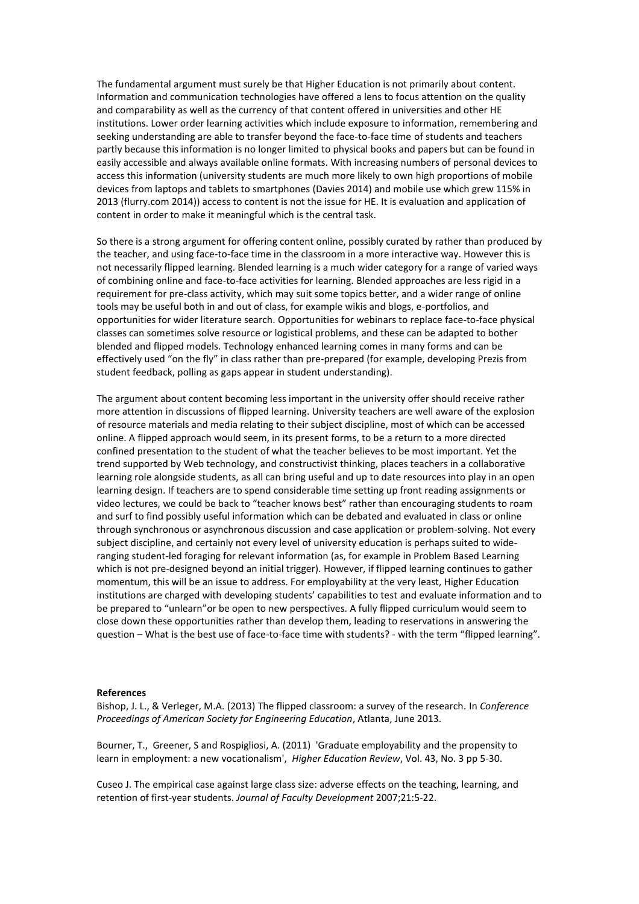The fundamental argument must surely be that Higher Education is not primarily about content. Information and communication technologies have offered a lens to focus attention on the quality and comparability as well as the currency of that content offered in universities and other HE institutions. Lower order learning activities which include exposure to information, remembering and seeking understanding are able to transfer beyond the face-to-face time of students and teachers partly because this information is no longer limited to physical books and papers but can be found in easily accessible and always available online formats. With increasing numbers of personal devices to access this information (university students are much more likely to own high proportions of mobile devices from laptops and tablets to smartphones (Davies 2014) and mobile use which grew 115% in 2013 (flurry.com 2014)) access to content is not the issue for HE. It is evaluation and application of content in order to make it meaningful which is the central task.

So there is a strong argument for offering content online, possibly curated by rather than produced by the teacher, and using face-to-face time in the classroom in a more interactive way. However this is not necessarily flipped learning. Blended learning is a much wider category for a range of varied ways of combining online and face-to-face activities for learning. Blended approaches are less rigid in a requirement for pre-class activity, which may suit some topics better, and a wider range of online tools may be useful both in and out of class, for example wikis and blogs, e-portfolios, and opportunities for wider literature search. Opportunities for webinars to replace face-to-face physical classes can sometimes solve resource or logistical problems, and these can be adapted to bother blended and flipped models. Technology enhanced learning comes in many forms and can be effectively used "on the fly" in class rather than pre-prepared (for example, developing Prezis from student feedback, polling as gaps appear in student understanding).

The argument about content becoming less important in the university offer should receive rather more attention in discussions of flipped learning. University teachers are well aware of the explosion of resource materials and media relating to their subject discipline, most of which can be accessed online. A flipped approach would seem, in its present forms, to be a return to a more directed confined presentation to the student of what the teacher believes to be most important. Yet the trend supported by Web technology, and constructivist thinking, places teachers in a collaborative learning role alongside students, as all can bring useful and up to date resources into play in an open learning design. If teachers are to spend considerable time setting up front reading assignments or video lectures, we could be back to "teacher knows best" rather than encouraging students to roam and surf to find possibly useful information which can be debated and evaluated in class or online through synchronous or asynchronous discussion and case application or problem-solving. Not every subject discipline, and certainly not every level of university education is perhaps suited to wideranging student-led foraging for relevant information (as, for example in Problem Based Learning which is not pre-designed beyond an initial trigger). However, if flipped learning continues to gather momentum, this will be an issue to address. For employability at the very least, Higher Education institutions are charged with developing students' capabilities to test and evaluate information and to be prepared to "unlearn"or be open to new perspectives. A fully flipped curriculum would seem to close down these opportunities rather than develop them, leading to reservations in answering the question – What is the best use of face-to-face time with students? - with the term "flipped learning".

#### **References**

Bishop, J. L., & Verleger, M.A. (2013) The flipped classroom: a survey of the research. In *Conference Proceedings of American Society for Engineering Education*, Atlanta, June 2013.

Bourner, T., Greener, S and Rospigliosi, A. (2011) 'Graduate employability and the propensity to learn in employment: a new vocationalism', *Higher Education Review*, Vol. 43, No. 3 pp 5-30.

Cuseo J. The empirical case against large class size: adverse effects on the teaching, learning, and retention of first-year students. *Journal of Faculty Development* 2007;21:5-22.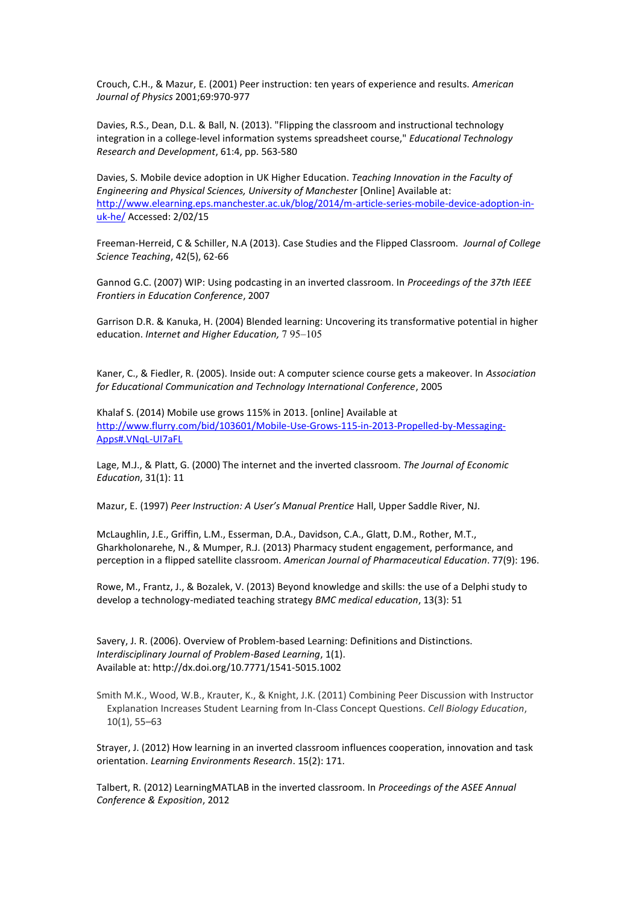Crouch, C.H., & Mazur, E. (2001) Peer instruction: ten years of experience and results. *American Journal of Physics* 2001;69:970-977

Davies, R.S., Dean, D.L. & Ball, N. (2013). "Flipping the classroom and instructional technology integration in a college-level information systems spreadsheet course," *Educational Technology Research and Development*, 61:4, pp. 563-580

Davies, S. Mobile device adoption in UK Higher Education. *Teaching Innovation in the Faculty of Engineering and Physical Sciences, University of Manchester* [Online] Available at: [http://www.elearning.eps.manchester.ac.uk/blog/2014/m-article-series-mobile-device-adoption-in](http://www.elearning.eps.manchester.ac.uk/blog/2014/m-article-series-mobile-device-adoption-in-uk-he/)[uk-he/](http://www.elearning.eps.manchester.ac.uk/blog/2014/m-article-series-mobile-device-adoption-in-uk-he/) Accessed: 2/02/15

Freeman-Herreid, C & Schiller, N.A (2013). Case Studies and the Flipped Classroom. *Journal of College Science Teaching*, 42(5), 62-66

Gannod G.C. (2007) WIP: Using podcasting in an inverted classroom. In *Proceedings of the 37th IEEE Frontiers in Education Conference*, 2007

Garrison D.R. & Kanuka, H. (2004) Blended learning: Uncovering its transformative potential in higher education. *Internet and Higher Education,* 7 95–105

Kaner, C., & Fiedler, R. (2005). Inside out: A computer science course gets a makeover. In *Association for Educational Communication and Technology International Conference*, 2005

Khalaf S. (2014) Mobile use grows 115% in 2013. [online] Available at [http://www.flurry.com/bid/103601/Mobile-Use-Grows-115-in-2013-Propelled-by-Messaging-](http://www.flurry.com/bid/103601/Mobile-Use-Grows-115-in-2013-Propelled-by-Messaging-Apps#.VNqL-UI7aFL)[Apps#.VNqL-UI7aFL](http://www.flurry.com/bid/103601/Mobile-Use-Grows-115-in-2013-Propelled-by-Messaging-Apps#.VNqL-UI7aFL)

Lage, M.J., & Platt, G. (2000) The internet and the inverted classroom. *The Journal of Economic Education*, 31(1): 11

Mazur, E. (1997) *Peer Instruction: A User's Manual Prentice* Hall, Upper Saddle River, NJ.

McLaughlin, J.E., Griffin, L.M., Esserman, D.A., Davidson, C.A., Glatt, D.M., Rother, M.T., Gharkholonarehe, N., & Mumper, R.J. (2013) Pharmacy student engagement, performance, and perception in a flipped satellite classroom. *American Journal of Pharmaceutical Education*. 77(9): 196.

Rowe, M., Frantz, J., & Bozalek, V. (2013) [Beyond knowledge and skills: the use of a Delphi study to](https://scholar.google.com/scholar?oi=bibs&cluster=6338842338893901205&btnI=1&hl=en)  [develop a technology-mediated teaching strategy](https://scholar.google.com/scholar?oi=bibs&cluster=6338842338893901205&btnI=1&hl=en) *BMC medical education*, 13(3): 51

Savery, J. R. (2006). Overview of Problem-based Learning: Definitions and Distinctions. *Interdisciplinary Journal of Problem-Based Learning*, 1(1). Available at: http://dx.doi.org/10.7771/1541-5015.1002

Smith M.K., Wood, W.B., Krauter, K., & Knight, J.K. (2011) Combining Peer Discussion with Instructor Explanation Increases Student Learning from In-Class Concept Questions. *Cell Biology Education*, 10(1), 55–63

Strayer, J. (2012) How learning in an inverted classroom influences cooperation, innovation and task orientation. *Learning Environments Research*. 15(2): 171.

Talbert, R. (2012) LearningMATLAB in the inverted classroom. In *Proceedings of the ASEE Annual Conference & Exposition*, 2012